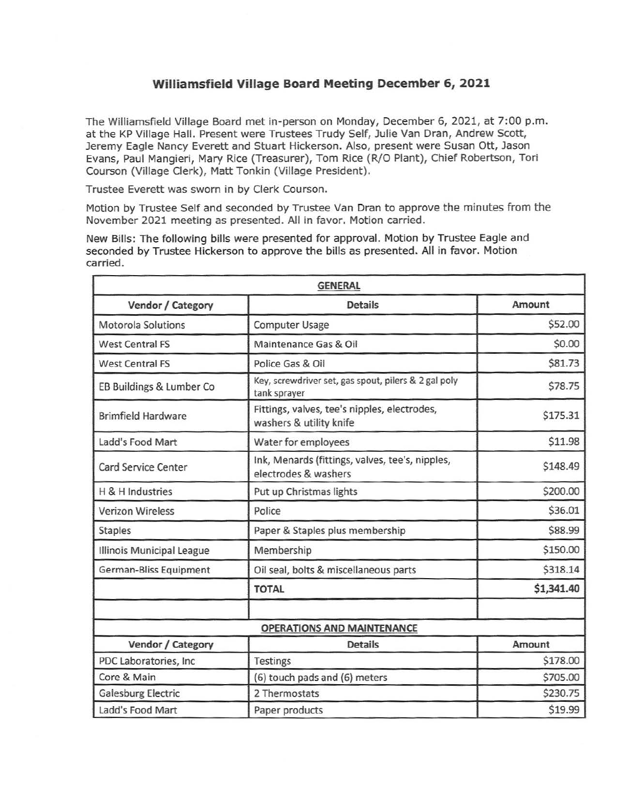## **Williamsfield Village Board Meeting December 6, 2021**

The Williamsfield Village Board met in-person on Monday, December 6, 2021, at 7:00 p.m. at the KP Village Hall. Present were Trustees Trudy Self, Julie Van Oran, Andrew Scott, Jeremy Eagle Nancy Everett and Stuart Hickerson. Also, present were Susan Ott, Jason Evans, Paul Mangieri, Mary Rice (Treasurer), Tom Rice (R/0 Plant), Chief Robertson, Tori Courson (Village Clerk), Matt Tonkin (Village President).

Trustee Everett was sworn in by Clerk Courson.

Motion by Trustee Self and seconded by Trustee Van Dran to approve the minutes from the November 2021 meeting as presented. All in favor. Motion carried.

New Bills: The following bills were presented for approval. Motion by Trustee Eagle and seconded by Trustee Hickerson to approve the bills as presented. All in favor. Motion carried.

| <b>GENERAL</b>            |                                                                         |            |  |  |
|---------------------------|-------------------------------------------------------------------------|------------|--|--|
| Vendor / Category         | <b>Details</b>                                                          | Amount     |  |  |
| <b>Motorola Solutions</b> | <b>Computer Usage</b>                                                   | \$52.00    |  |  |
| <b>West Central FS</b>    | Maintenance Gas & Oil                                                   | \$0.00     |  |  |
| <b>West Central FS</b>    | Police Gas & Oil                                                        | \$81.73    |  |  |
| EB Buildings & Lumber Co  | Key, screwdriver set, gas spout, pilers & 2 gal poly<br>tank sprayer    | \$78.75    |  |  |
| <b>Brimfield Hardware</b> | Fittings, valves, tee's nipples, electrodes,<br>washers & utility knife | \$175.31   |  |  |
| Ladd's Food Mart          | Water for employees                                                     | \$11.98    |  |  |
| Card Service Center       | Ink, Menards (fittings, valves, tee's, nipples,<br>electrodes & washers | \$148.49   |  |  |
| H & H Industries          | Put up Christmas lights                                                 | \$200.00   |  |  |
| <b>Verizon Wireless</b>   | Police                                                                  | \$36.01    |  |  |
| <b>Staples</b>            | Paper & Staples plus membership                                         | \$88.99    |  |  |
| Illinois Municipal League | Membership                                                              | \$150.00   |  |  |
| German-Bliss Equipment    | Oil seal, bolts & miscellaneous parts                                   | \$318.14   |  |  |
|                           | <b>TOTAL</b>                                                            | \$1,341.40 |  |  |
|                           |                                                                         |            |  |  |
| Vendor / Category         | <b>OPERATIONS AND MAINTENANCE</b><br><b>Details</b>                     | Amount     |  |  |
| PDC Laboratories, Inc     | <b>Testings</b>                                                         | \$178.00   |  |  |
| Core & Main               | (6) touch pads and (6) meters                                           | \$705.00   |  |  |
| <b>Galesburg Electric</b> | 2 Thermostats                                                           | \$230.75   |  |  |
| Ladd's Food Mart          | Paper products                                                          | \$19.99    |  |  |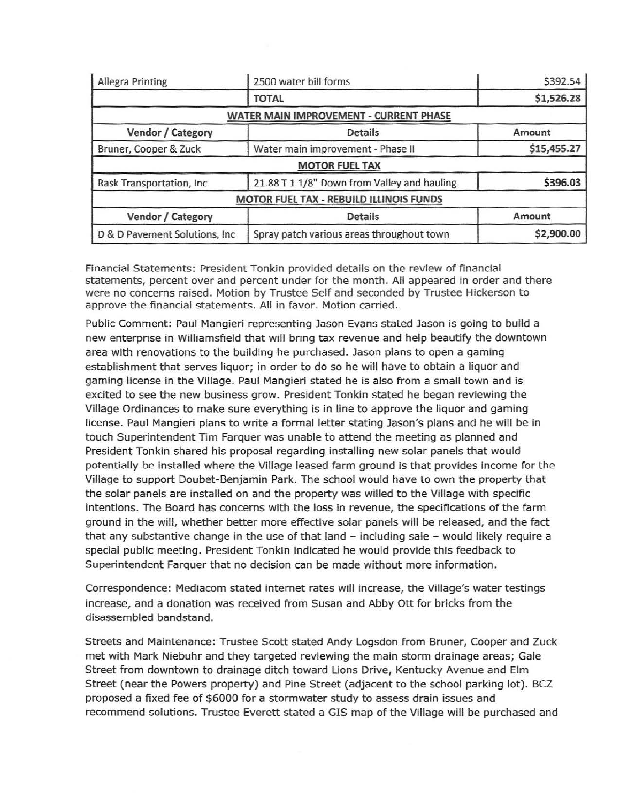| <b>Allegra Printing</b>        | 2500 water bill forms                       | \$392.54    |
|--------------------------------|---------------------------------------------|-------------|
|                                | <b>TOTAL</b>                                | \$1,526.28  |
|                                | WATER MAIN IMPROVEMENT - CURRENT PHASE      |             |
| Vendor / Category              | <b>Details</b>                              | Amount      |
| Bruner, Cooper & Zuck          | Water main improvement - Phase II           | \$15,455.27 |
|                                | <b>MOTOR FUEL TAX</b>                       |             |
| Rask Transportation, Inc.      | 21.88 T 1 1/8" Down from Valley and hauling |             |
|                                | MOTOR FUEL TAX - REBUILD ILLINOIS FUNDS     |             |
| Vendor / Category              | <b>Details</b>                              | Amount      |
| D & D Pavement Solutions, Inc. | Spray patch various areas throughout town   | \$2,900.00  |

Financial Statements: President Tonkin provided details on the review of financial statements, percent over and percent under for the month. All appeared in order and there were no concerns raised. Motion by Trustee Self and seconded by Trustee Hickerson to approve the financial statements. All in favor. Motion carried.

Public Comment: Paul Mangieri representing Jason Evans stated Jason is going to build a new enterprise in Williamsfield that will bring tax revenue and help beautify the downtown area with renovations to the building he purchased. Jason plans to open a gaming establishment that serves liquor; in order to do so he will have to obtain a liquor and gaming license in the Village. Paul Mangieri stated he is also from a small town and is excited to see the new business grow. President Tonkin stated he began reviewing the Village Ordinances to make sure everything is in line to approve the liquor and gaming license. Paul Mangieri plans to write a formal letter stating Jason's plans and he will be in touch Superintendent Tim Farquer was unable to attend the meeting as planned and President Tonkin shared his proposal regarding installing new solar panels that would potentially be installed where the Village leased farm ground is that provides income for the Village to support Doubet-Benjamin Park. The school would have to own the property that the solar panels are installed on and the property was willed to the Village with specific intentions. The Board has concerns with the loss in revenue, the specifications of the farm ground in the will, whether better more effective solar panels will be released, and the fact that any substantive change in the use of that land  $-$  including sale  $-$  would likely require a special public meeting. President Tonkin indicated he would provide this feedback to Superintendent Farquer that no decision can be made without more information.

Correspondence: Mediacom stated internet rates will increase, the Village's water testings increase, and a donation was received from Susan and Abby Ott for bricks from the disassembled bandstand.

Streets and Maintenance: Trustee Scott stated Andy Logsdon from Bruner, Cooper and Zuck met with Mark Niebuhr and they targeted reviewing the main storm drainage areas; Gale Street from downtown to drainage ditch toward Lions Drive, Kentucky Avenue and Elm Street (near the Powers property) and Pine Street (adjacent to the school parking lot). BCZ proposed a fixed fee of \$6000 for a stormwater study to assess drain issues and recommend solutions. Trustee Everett stated a GIS map of the Village will be purchased and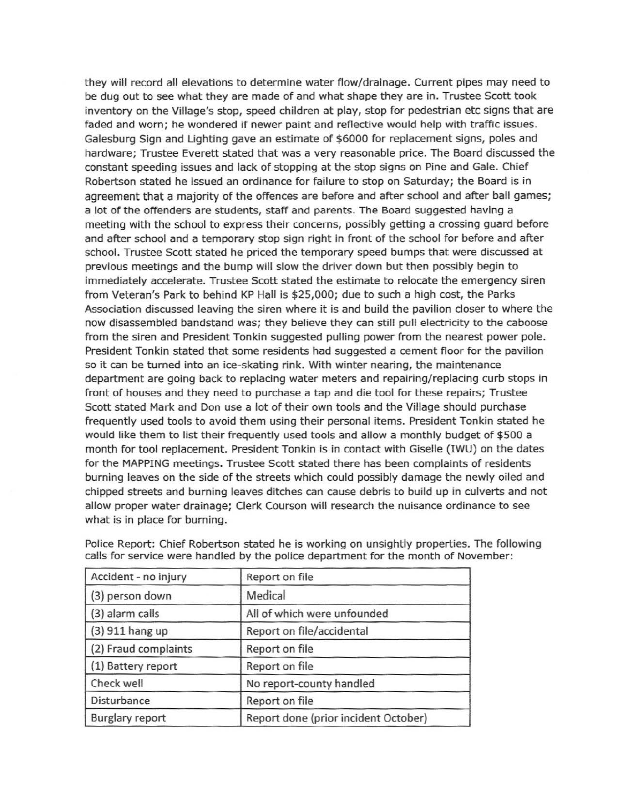they will record all elevations to determine water flow/drainage. Current pipes may need to be dug out to see what they are made of and what shape they are in. Trustee Scott took inventory on the Village's stop, speed children at play, stop for pedestrian etc signs that are faded and worn; he wondered if newer paint and reflective would help with traffic issues. Galesburg Sign and Lighting gave an estimate of \$6000 for replacement signs, poles and hardware; Trustee Everett stated that was a very reasonable price. The Board discussed the constant speeding issues and lack of stopping at the stop signs on Pine and Gale. Chief Robertson stated he issued an ordinance for failure to stop on Saturday; the Board is in agreement that a majority of the offences are before and after school and after ball games; a lot of the offenders are students, staff and parents. The Board suggested having a meeting with the school to express their concerns, possibly getting a crossing guard before and after school and a temporary stop sign right in front of the school for before and after school. Trustee Scott stated he priced the temporary speed bumps that were discussed at previous meetings and the bump will slow the driver down but then possibly begin to immediately accelerate. Trustee Scott stated the estimate to relocate the emergency siren from Veteran's Park to behind KP Hall is \$25,000; due to such a high cost, the Parks Association discussed leaving the siren where it is and build the pavilion closer to where the now disassembled bandstand was; they believe they can still pull electricity to the caboose from the siren and President Tonkin suggested pulling power from the nearest power pole. President Tonkin stated that some residents had suggested a cement floor for the pavilion so it can be turned into an ice-skating rink. With winter nearing, the maintenance department are going back to replacing water meters and repairing/replacing curb stops in front of houses and they need to purchase a tap and die tool for these repairs; Trustee Scott stated Mark and Don use a lot of their own tools and the Village should purchase frequently used tools to avoid them using their personal items. President Tonkin stated he would like them to list their frequently used tools and allow a monthly budget of \$500 a month for tool replacement. President Tonkin is in contact with Giselle (IWU) on the dates for the MAPPING meetings. Trustee Scott stated there has been complaints of residents burning leaves on the side of the streets which could possibly damage the newly oiled and chipped streets and burning leaves ditches can cause debris to build up in culverts and not allow proper water drainage; Clerk Courson will research the nuisance ordinance to see what is in place for burning.

| Accident - no injury   | Report on file                       |  |
|------------------------|--------------------------------------|--|
| (3) person down        | Medical                              |  |
| (3) alarm calls        | All of which were unfounded          |  |
| (3) 911 hang up        | Report on file/accidental            |  |
| (2) Fraud complaints   | Report on file                       |  |
| (1) Battery report     | Report on file                       |  |
| Check well             | No report-county handled             |  |
| Disturbance            | Report on file                       |  |
| <b>Burglary report</b> | Report done (prior incident October) |  |

Police Report: Chief Robertson stated he is working on unsightly properties. The following calls for service were handled by the police department for the month of November: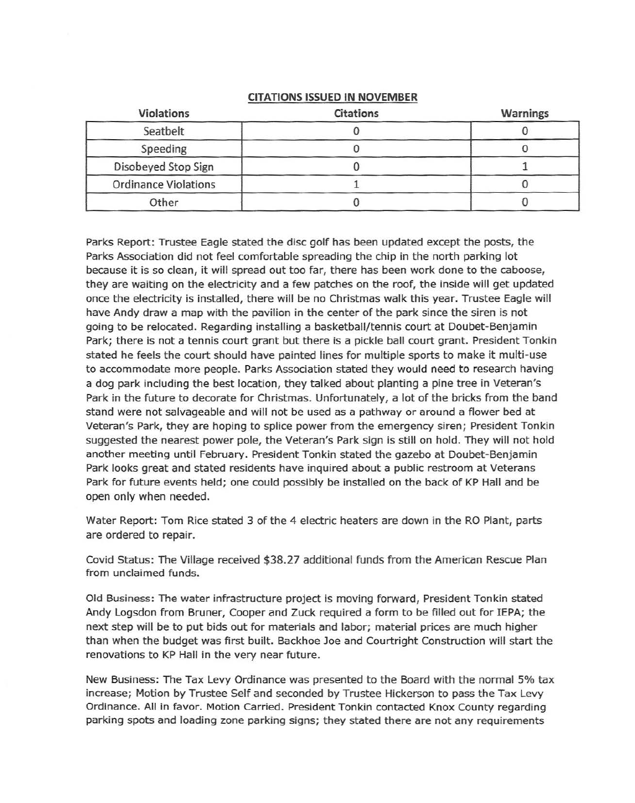## **CITATIONS ISSUED IN NOVEMBER**

| <b>Violations</b>           | <b>Citations</b> | <b>Warnings</b> |
|-----------------------------|------------------|-----------------|
| Seatbelt                    |                  |                 |
| Speeding                    |                  |                 |
| Disobeyed Stop Sign         |                  |                 |
| <b>Ordinance Violations</b> |                  |                 |
| Other                       |                  |                 |

Parks Report: Trustee Eagle stated the disc golf has been updated except the posts, the Parks Association did not feel comfortable spreading the chip in the north parking lot because it is so clean, it will spread out too far, there has been work done to the caboose, they are waiting on the electricity and a few patches on the roof, the inside will get updated once the electricity is installed, there will be no Christmas walk this year. Trustee Eagle will have Andy draw a map with the pavilion in the center of the park since the siren is not going to be relocated. Regarding installing a basketball/tennis court at Doubet-Benjamin Park; there is not a tennis court grant but there is a pickle ball court grant. President Tonkin stated he feels the court should have painted lines for multiple sports to make it multi-use to accommodate more people. Parks Association stated they would need to research having a dog park including the best location, they talked about planting a pine tree in Veteran's Park in the future to decorate for Christmas. Unfortunately, a lot of the bricks from the band stand were not salvageable and will not be used as a pathway or around a flower bed at Veteran's Park, they are hoping to splice power from the emergency siren; President Tonkin suggested the nearest power pole, the Veteran's Park sign is still on hold. They will not hold another meeting until February. President Tonkin stated the gazebo at Doubet-Benjamin Park looks great and stated residents have inquired about a public restroom at Veterans Park for future events held; one could possibly be installed on the back of KP Hall and be open only when needed.

Water Report: Tom Rice stated 3 of the 4 electric heaters are down in the RO Plant, parts are ordered to repair.

Covid Status: The Village received \$38.27 additional funds from the American Rescue Plan from unclaimed funds.

Old Business: The water infrastructure project is moving forward, President Tonkin stated Andy Logsdon from Bruner, Cooper and Zuck required a form to be filled out for !EPA; the next step will be to put bids out for materials and labor; material prices are much higher than when the budget was first built. Backhoe Joe and Courtright Construction will start the renovations to KP Hall in the very near future.

New Business: The Tax Levy Ordinance was presented to the Board with the normal 5% tax increase; Motion by Trustee Self and seconded by Trustee Hickerson to pass the Tax Levy Ordinance. All in favor. Motion Carried. President Tonkin contacted Knox County regarding parking spots and loading zone parking signs; they stated there are not any requirements